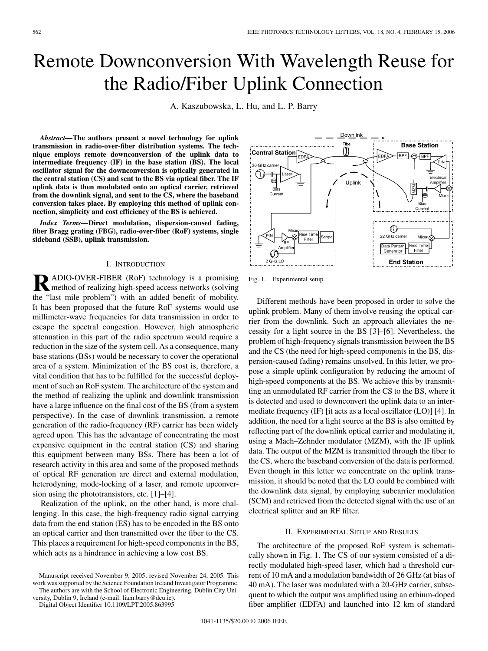# Remote Downconversion With Wavelength Reuse for the Radio/Fiber Uplink Connection

A. Kaszubowska, L. Hu, and L. P. Barry

*Abstract—***The authors present a novel technology for uplink transmission in radio-over-fiber distribution systems. The technique employs remote downconversion of the uplink data to intermediate frequency (IF) in the base station (BS). The local oscillator signal for the downconversion is optically generated in the central station (CS) and sent to the BS via optical fiber. The IF uplink data is then modulated onto an optical carrier, retrieved from the downlink signal, and sent to the CS, where the baseband conversion takes place. By employing this method of uplink connection, simplicity and cost efficiency of the BS is achieved.**

*Index Terms—***Direct modulation, dispersion-caused fading, fiber Bragg grating (FBG), radio-over-fiber (RoF) systems, single sideband (SSB), uplink transmission.**

#### I. INTRODUCTION

**R**ADIO-OVER-FIBER (RoF) technology is a promising<br>method of realizing high-speed access networks (solving<br>the "lest mile problem") with an added heater of mability the "last mile problem") with an added benefit of mobility. It has been proposed that the future RoF systems would use millimeter-wave frequencies for data transmission in order to escape the spectral congestion. However, high atmospheric attenuation in this part of the radio spectrum would require a reduction in the size of the system cell. As a consequence, many base stations (BSs) would be necessary to cover the operational area of a system. Minimization of the BS cost is, therefore, a vital condition that has to be fulfilled for the successful deployment of such an RoF system. The architecture of the system and the method of realizing the uplink and downlink transmission have a large influence on the final cost of the BS (from a system perspective). In the case of downlink transmission, a remote generation of the radio-frequency (RF) carrier has been widely agreed upon. This has the advantage of concentrating the most expensive equipment in the central station (CS) and sharing this equipment between many BSs. There has been a lot of research activity in this area and some of the proposed methods of optical RF generation are direct and external modulation, heterodyning, mode-locking of a laser, and remote upconversion using the phototransistors, etc. [[1\]](#page-2-0)–[[4\]](#page-2-0).

Realization of the uplink, on the other hand, is more challenging. In this case, the high-frequency radio signal carrying data from the end station (ES) has to be encoded in the BS onto an optical carrier and then transmitted over the fiber to the CS. This places a requirement for high-speed components in the BS, which acts as a hindrance in achieving a low cost BS.

Manuscript received November 9, 2005; revised November 24, 2005. This work was supported by the Science Foundation Ireland Investigator Programme. The authors are with the School of Electronic Engineering, Dublin City Uni-

versity, Dublin 9, Ireland (e-mail: liam.barry@dcu.ie).

Digital Object Identifier 10.1109/LPT.2005.863995



Fig. 1. Experimental setup.

Different methods have been proposed in order to solve the uplink problem. Many of them involve reusing the optical carrier from the downlink. Such an approach alleviates the necessity for a light source in the BS [[3\]](#page-2-0)–[\[6](#page-2-0)]. Nevertheless, the problem of high-frequency signals transmission between the BS and the CS (the need for high-speed components in the BS, dispersion-caused fading) remains unsolved. In this letter, we propose a simple uplink configuration by reducing the amount of high-speed components at the BS. We achieve this by transmitting an unmodulated RF carrier from the CS to the BS, where it is detected and used to downconvert the uplink data to an intermediate frequency (IF) [it acts as a local oscillator (LO)] [\[4](#page-2-0)]. In addition, the need for a light source at the BS is also omitted by reflecting part of the downlink optical carrier and modulating it, using a Mach–Zehnder modulator (MZM), with the IF uplink data. The output of the MZM is transmitted through the fiber to the CS, where the baseband conversion of the data is performed. Even though in this letter we concentrate on the uplink transmission, it should be noted that the LO could be combined with the downlink data signal, by employing subcarrier modulation (SCM) and retrieved from the detected signal with the use of an electrical splitter and an RF filter.

## II. EXPERIMENTAL SETUP AND RESULTS

The architecture of the proposed RoF system is schematically shown in Fig. 1. The CS of our system consisted of a directly modulated high-speed laser, which had a threshold current of 10 mA and a modulation bandwidth of 26 GHz (at bias of 40 mA). The laser was modulated with a 20-GHz carrier, subsequent to which the output was amplified using an erbium-doped fiber amplifier (EDFA) and launched into 12 km of standard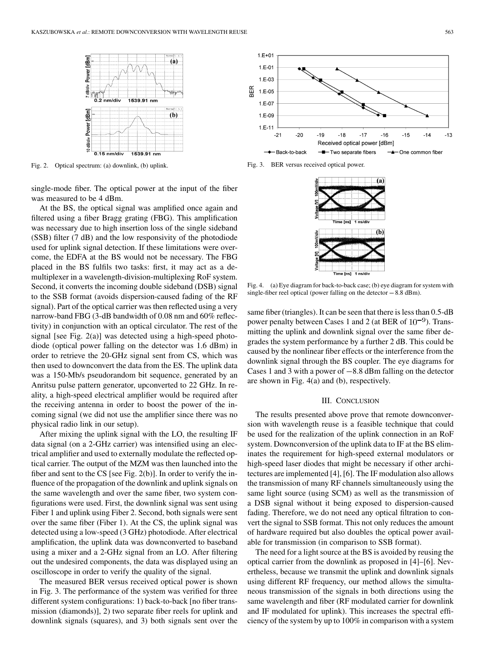

Fig. 2. Optical spectrum: (a) downlink, (b) uplink.

single-mode fiber. The optical power at the input of the fiber was measured to be 4 dBm.

At the BS, the optical signal was amplified once again and filtered using a fiber Bragg grating (FBG). This amplification was necessary due to high insertion loss of the single sideband (SSB) filter (7 dB) and the low responsivity of the photodiode used for uplink signal detection. If these limitations were overcome, the EDFA at the BS would not be necessary. The FBG placed in the BS fulfils two tasks: first, it may act as a demultiplexer in a wavelength-division-multiplexing RoF system. Second, it converts the incoming double sideband (DSB) signal to the SSB format (avoids dispersion-caused fading of the RF signal). Part of the optical carrier was then reflected using a very narrow-band FBG (3-dB bandwidth of 0.08 nm and 60% reflectivity) in conjunction with an optical circulator. The rest of the signal [see Fig. 2(a)] was detected using a high-speed photodiode (optical power falling on the detector was 1.6 dBm) in order to retrieve the 20-GHz signal sent from CS, which was then used to downconvert the data from the ES. The uplink data was a 150-Mb/s pseudorandom bit sequence, generated by an Anritsu pulse pattern generator, upconverted to 22 GHz. In reality, a high-speed electrical amplifier would be required after the receiving antenna in order to boost the power of the incoming signal (we did not use the amplifier since there was no physical radio link in our setup).

After mixing the uplink signal with the LO, the resulting IF data signal (on a 2-GHz carrier) was intensified using an electrical amplifier and used to externally modulate the reflected optical carrier. The output of the MZM was then launched into the fiber and sent to the CS [see Fig. 2(b)]. In order to verify the influence of the propagation of the downlink and uplink signals on the same wavelength and over the same fiber, two system configurations were used. First, the downlink signal was sent using Fiber 1 and uplink using Fiber 2. Second, both signals were sent over the same fiber (Fiber 1). At the CS, the uplink signal was detected using a low-speed (3 GHz) photodiode. After electrical amplification, the uplink data was downconverted to baseband using a mixer and a 2-GHz signal from an LO. After filtering out the undesired components, the data was displayed using an oscilloscope in order to verify the quality of the signal.

The measured BER versus received optical power is shown in Fig. 3. The performance of the system was verified for three different system configurations: 1) back-to-back [no fiber transmission (diamonds)], 2) two separate fiber reels for uplink and downlink signals (squares), and 3) both signals sent over the



Fig. 3. BER versus received optical power.



Fig. 4. (a) Eye diagram for back-to-back case; (b) eye diagram for system with Fig. 4. (a) Eye diagram for back-to-back case; (b) eye diagram for single-fiber reel optical (power falling on the detector  $-8.8$  dBm).

same fiber (triangles). It can be seen that there is less than 0.5-dB power penalty between Cases 1 and 2 (at BER of  $10^{-9}$ ). Transmitting the uplink and downlink signal over the same fiber degrades the system performance by a further 2 dB. This could be caused by the nonlinear fiber effects or the interference from the downlink signal through the BS coupler. The eye diagrams for Cases 1 and 3 with a power of  $-8.8$  dBm falling on the detector are shown in Fig. 4(a) and (b), respectively.

### III. CONCLUSION

The results presented above prove that remote downconversion with wavelength reuse is a feasible technique that could be used for the realization of the uplink connection in an RoF system. Downconversion of the uplink data to IF at the BS eliminates the requirement for high-speed external modulators or high-speed laser diodes that might be necessary if other architectures are implemented [\[4\]](#page-2-0), [[6\]](#page-2-0). The IF modulation also allows the transmission of many RF channels simultaneously using the same light source (using SCM) as well as the transmission of a DSB signal without it being exposed to dispersion-caused fading. Therefore, we do not need any optical filtration to convert the signal to SSB format. This not only reduces the amount of hardware required but also doubles the optical power available for transmission (in comparison to SSB format).

The need for a light source at the BS is avoided by reusing the optical carrier from the downlink as proposed in [\[4](#page-2-0)]–[[6\]](#page-2-0). Nevertheless, because we transmit the uplink and downlink signals using different RF frequency, our method allows the simultaneous transmission of the signals in both directions using the same wavelength and fiber (RF modulated carrier for downlink and IF modulated for uplink). This increases the spectral efficiency of the system by up to 100% in comparison with a system